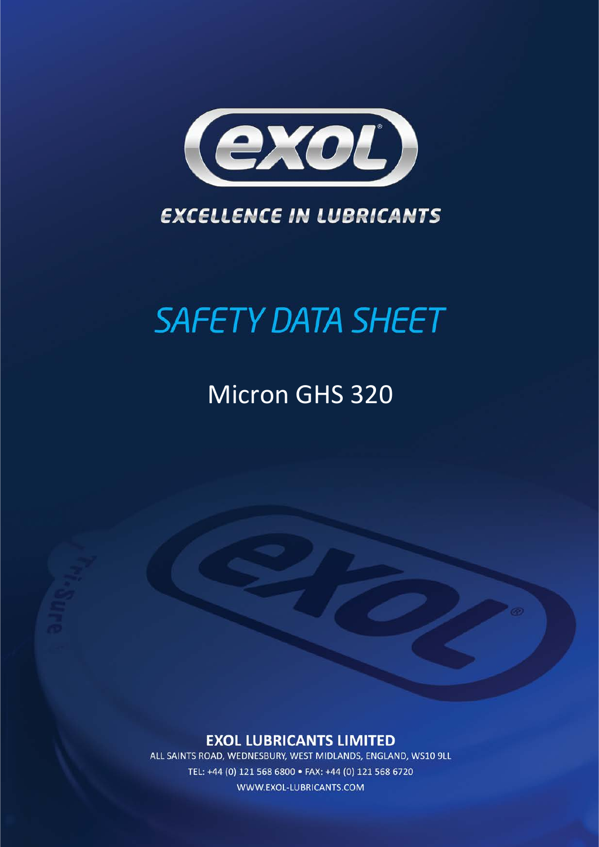

### **EXCELLENCE IN LUBRICANTS**

# **SAFETY DATA SHEET**

## Micron GHS 320

### **EXOL LUBRICANTS LIMITED**

ALL SAINTS ROAD, WEDNESBURY, WEST MIDLANDS, ENGLAND, WS10 9LL TEL: +44 (0) 121 568 6800 · FAX: +44 (0) 121 568 6720 WWW.EXOL-LUBRICANTS.COM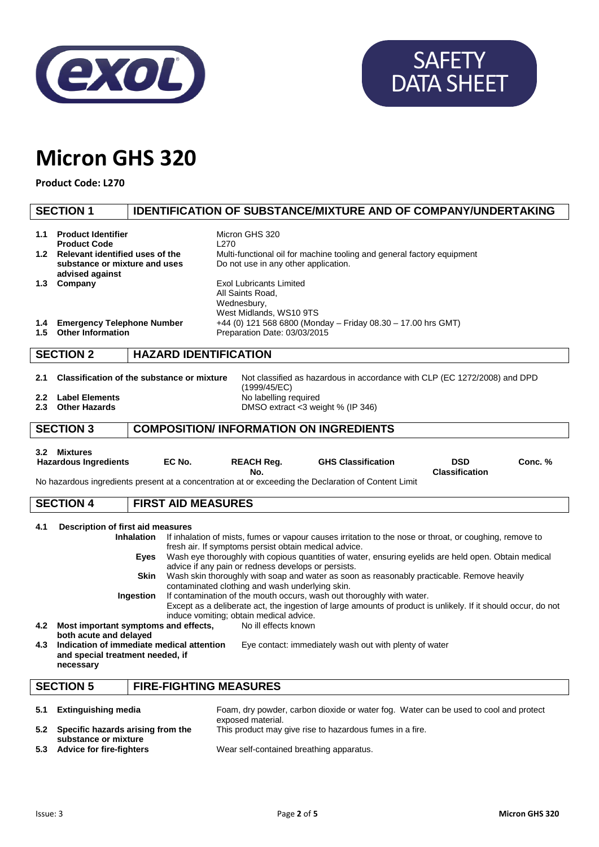

# **SAFETY** DATA SHEET

## **Micron GHS 320**

**Product Code: L270**

#### **SECTION 1 IDENTIFICATION OF SUBSTANCE/MIXTURE AND OF COMPANY/UNDERTAKING 1.1 Product Identifier** Micron GHS 320 **Product Code** L<sub>270</sub> **1.2 Relevant identified uses of the substance or mixture and uses advised against** Multi-functional oil for machine tooling and general factory equipment Do not use in any other application. **1.3 Company Exol Lubricants Limited** All Saints Road, Wednesbury, West Midlands, WS10 9TS **1.4 Emergency Telephone Number** +44 (0) 121 568 6800 (Monday – Friday 08.30 – 17.00 hrs GMT) **1.5 Other Information** Preparation Date: 03/03/2015 **SECTION 2 HAZARD IDENTIFICATION 2.1 Classification of the substance or mixture** Not classified as hazardous in accordance with CLP (EC 1272/2008) and DPD (1999/45/EC) **2.2 Label Elements** No labelling required<br> **2.3 Other Hazards** No labelling required<br>
DMSO extract <3 we **DMSO extract <3 weight % (IP 346) SECTION 3 COMPOSITION/ INFORMATION ON INGREDIENTS 3.2 Mixtures Hazardous Ingredients EC No. REACH Reg. No. GHS Classification DSD Classification Conc. %** No hazardous ingredients present at a concentration at or exceeding the Declaration of Content Limit **SECTION 4 FIRST AID MEASURES 4.1 Description of first aid measures** If inhalation of mists, fumes or vapour causes irritation to the nose or throat, or coughing, remove to fresh air. If symptoms persist obtain medical advice. **Eyes** Wash eye thoroughly with copious quantities of water, ensuring eyelids are held open. Obtain medical advice if any pain or redness develops or persists. **Skin** Wash skin thoroughly with soap and water as soon as reasonably practicable. Remove heavily contaminated clothing and wash underlying skin. **Ingestion** If contamination of the mouth occurs, wash out thoroughly with water. Except as a deliberate act, the ingestion of large amounts of product is unlikely. If it should occur, do not induce vomiting; obtain medical advice. **4.2 Most important symptoms and effects, both acute and delayed** No ill effects known **4.3 Indication of immediate medical attention and special treatment needed, if necessary** Eye contact: immediately wash out with plenty of water **SECTION 5 FIRE-FIGHTING MEASURES 5.1 Extinguishing media** Foam, dry powder, carbon dioxide or water fog. Water can be used to cool and protect exposed material. **5.2 Specific hazards arising from the**  This product may give rise to hazardous fumes in a fire.

**substance or mixture**

**5.3 Advice for fire-fighters** Wear self-contained breathing apparatus.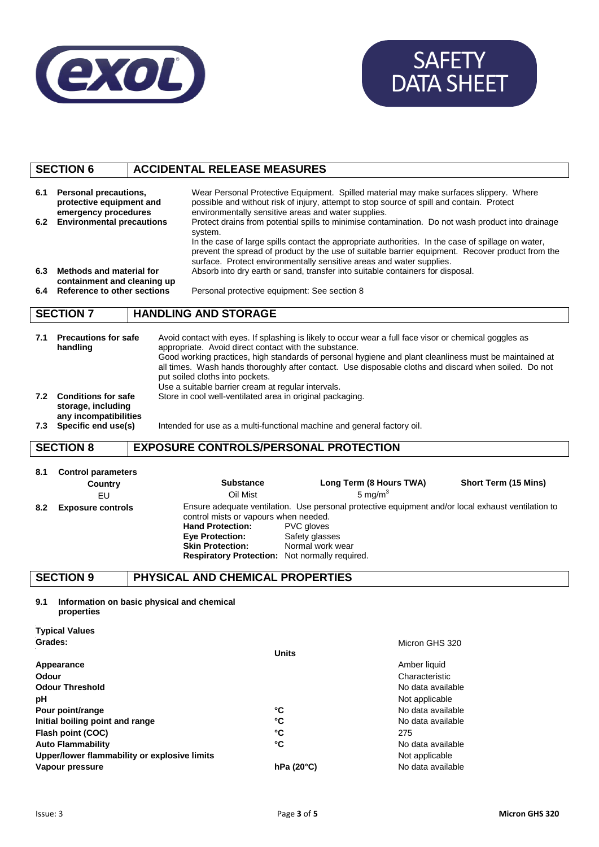

# SAFETY DATA SHEET

### **SECTION 6 ACCIDENTAL RELEASE MEASURES**

| 6.1<br>6.2<br>6.3<br>6.4 | Personal precautions,<br>protective equipment and<br>emergency procedures<br><b>Environmental precautions</b><br>Methods and material for<br>containment and cleaning up<br>Reference to other sections | Wear Personal Protective Equipment. Spilled material may make surfaces slippery. Where<br>possible and without risk of injury, attempt to stop source of spill and contain. Protect<br>environmentally sensitive areas and water supplies.<br>Protect drains from potential spills to minimise contamination. Do not wash product into drainage<br>system.<br>In the case of large spills contact the appropriate authorities. In the case of spillage on water,<br>prevent the spread of product by the use of suitable barrier equipment. Recover product from the<br>surface. Protect environmentally sensitive areas and water supplies.<br>Absorb into dry earth or sand, transfer into suitable containers for disposal.<br>Personal protective equipment: See section 8 |  |  |
|--------------------------|---------------------------------------------------------------------------------------------------------------------------------------------------------------------------------------------------------|--------------------------------------------------------------------------------------------------------------------------------------------------------------------------------------------------------------------------------------------------------------------------------------------------------------------------------------------------------------------------------------------------------------------------------------------------------------------------------------------------------------------------------------------------------------------------------------------------------------------------------------------------------------------------------------------------------------------------------------------------------------------------------|--|--|
|                          | <b>SECTION 7</b>                                                                                                                                                                                        | <b>HANDLING AND STORAGE</b>                                                                                                                                                                                                                                                                                                                                                                                                                                                                                                                                                                                                                                                                                                                                                    |  |  |
| 7.1<br>7.2               | <b>Precautions for safe</b><br>handling<br><b>Conditions for safe</b><br>storage, including<br>any incompatibilities<br>7.3 Specific end use(s)                                                         | Avoid contact with eyes. If splashing is likely to occur wear a full face visor or chemical goggles as<br>appropriate. Avoid direct contact with the substance.<br>Good working practices, high standards of personal hygiene and plant cleanliness must be maintained at<br>all times. Wash hands thoroughly after contact. Use disposable cloths and discard when soiled. Do not<br>put soiled cloths into pockets.<br>Use a suitable barrier cream at regular intervals.<br>Store in cool well-ventilated area in original packaging.<br>Intended for use as a multi-functional machine and general factory oil.                                                                                                                                                            |  |  |
|                          | <b>SECTION 8</b>                                                                                                                                                                                        | <b>EXPOSURE CONTROLS/PERSONAL PROTECTION</b>                                                                                                                                                                                                                                                                                                                                                                                                                                                                                                                                                                                                                                                                                                                                   |  |  |
| 8.1                      | <b>Control parameters</b><br>Country<br>EU                                                                                                                                                              | Long Term (8 Hours TWA)<br>Short Term (15 Mins)<br><b>Substance</b><br>5 ma/m <sup>3</sup><br>Oil Mist                                                                                                                                                                                                                                                                                                                                                                                                                                                                                                                                                                                                                                                                         |  |  |
| 8.2                      | <b>Exposure controls</b>                                                                                                                                                                                | Ensure adequate ventilation. Use personal protective equipment and/or local exhaust ventilation to                                                                                                                                                                                                                                                                                                                                                                                                                                                                                                                                                                                                                                                                             |  |  |

control mists or vapours when needed.<br> **Hand Protection:** PVC gloves **Hand Protection:** PVC gloves<br> **Eye Protection:** Safety glasses **Eye Protection:**<br>Skin Protection: **Skin Protection:** Normal work wear **Respiratory Protection:** Not normally required.

#### **SECTION 9 PHYSICAL AND CHEMICAL PROPERTIES**

**9.1 Information on basic physical and chemical** 

| properties                                   |              |                   |
|----------------------------------------------|--------------|-------------------|
| <b>Typical Values</b>                        |              |                   |
| Grades:                                      |              | Micron GHS 320    |
|                                              | <b>Units</b> |                   |
| Appearance                                   |              | Amber liquid      |
| Odour                                        |              | Characteristic    |
| <b>Odour Threshold</b>                       |              | No data available |
| рH                                           |              | Not applicable    |
| Pour point/range                             | °C           | No data available |
| Initial boiling point and range              | °C           | No data available |
| Flash point (COC)                            | °C           | 275               |
| <b>Auto Flammability</b>                     | °C           | No data available |
| Upper/lower flammability or explosive limits |              | Not applicable    |
| Vapour pressure                              | hPa(20°C)    | No data available |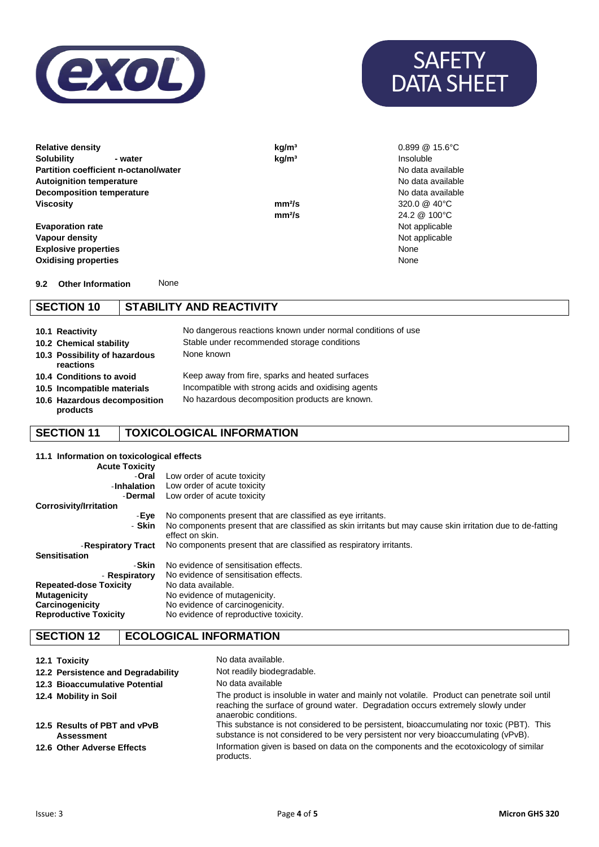



**mm²/s** 24.2 @ 100°C<br>Not applicable

**Relative density kg/m<sup>3</sup> by a contract of the set of the set of the set of the set of the set of the set of the set of the set of the set of the set of the set of the set of the set of the set of the set of the set of t Solubility - water kg/m³** Insoluble **Partition coefficient n-octanol/water** No data available **Autoignition temperature**<br> **Autoignition temperature**<br> **Decomposition temperature Decomposition temperature Viscosity mm²/s** 320.0 @ 40°C

Evaporation rate<br> **Evaporation rate** Not applicable<br> **Vapour density** Not applicable **Vapour density Explosive properties** None **Oxidising properties** 

**9.2 Other Information** None

#### **SECTION 10 STABILITY AND REACTIVITY**

| 10.1 Reactivity                            | No dangerous reactions known under normal conditions of use |
|--------------------------------------------|-------------------------------------------------------------|
| 10.2 Chemical stability                    | Stable under recommended storage conditions                 |
| 10.3 Possibility of hazardous<br>reactions | None known                                                  |
| 10.4 Conditions to avoid                   | Keep away from fire, sparks and heated surfaces             |
| 10.5 Incompatible materials                | Incompatible with strong acids and oxidising agents         |
| 10.6 Hazardous decomposition<br>products   | No hazardous decomposition products are known.              |
|                                            |                                                             |

#### **SECTION 11 TOXICOLOGICAL INFORMATION**

**11.1 Information on toxicological effects Acute Toxicity** -**Oral** -**Inhalation** -**Dermal** Low order of acute toxicity Low order of acute toxicity Low order of acute toxicity **Corrosivity/Irritation** -**Eye** - **Skin** -**Respiratory Tract** No components present that are classified as eye irritants. No components present that are classified as skin irritants but may cause skin irritation due to de-fatting effect on skin. No components present that are classified as respiratory irritants. **Sensitisation** -**Skin** - **Respiratory** No evidence of sensitisation effects. No evidence of sensitisation effects.<br>No data available. **Repeated-dose Toxicity Mutagenicity Mutagenicity** No evidence of mutagenicity.<br> **Carcinogenicity** No evidence of carcinogenici **Carcinogenicity** No evidence of carcinogenicity.<br> **Reproductive Toxicity** No evidence of reproductive to: No evidence of reproductive toxicity.

#### **SECTION 12 ECOLOGICAL INFORMATION**

| 12.1 Toxicity                                     | No data available.                                                                                                                                                                                      |
|---------------------------------------------------|---------------------------------------------------------------------------------------------------------------------------------------------------------------------------------------------------------|
| 12.2 Persistence and Degradability                | Not readily biodegradable.                                                                                                                                                                              |
| 12.3 Bioaccumulative Potential                    | No data available                                                                                                                                                                                       |
| 12.4 Mobility in Soil                             | The product is insoluble in water and mainly not volatile. Product can penetrate soil until<br>reaching the surface of ground water. Degradation occurs extremely slowly under<br>anaerobic conditions. |
| 12.5 Results of PBT and vPvB<br><b>Assessment</b> | This substance is not considered to be persistent, bioaccumulating nor toxic (PBT). This<br>substance is not considered to be very persistent nor very bioaccumulating (vPvB).                          |
| 12.6 Other Adverse Effects                        | Information given is based on data on the components and the ecotoxicology of similar<br>products.                                                                                                      |